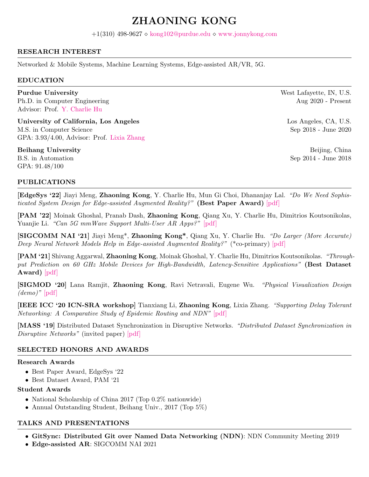# ZHAONING KONG

 $+1(310)$  498-9627  $\diamond$  [kong102@purdue.edu](mailto:kong102@purdue.edu)  $\diamond$  <www.jonnykong.com>

# RESEARCH INTEREST

Networked & Mobile Systems, Machine Learning Systems, Edge-assisted AR/VR, 5G.

### EDUCATION

**Purdue University** West Lafayette, IN, U.S. Ph.D. in Computer Engineering  $\angle$  Aug 2020 - Present Advisor: Prof. [Y. Charlie Hu](https://engineering.purdue.edu/~ychu/)

University of California, Los Angeles Los Angeles Los Angeles, CA, U.S. M.S. in Computer Science Sep 2018 - June 2020 GPA: 3.93/4.00, Advisor: Prof. [Lixia Zhang](https://web.cs.ucla.edu/~lixia/)

Beihang University **Beiling, China** B.S. in Automation Sep 2014 - June 2018 GPA: 91.48/100

# PUBLICATIONS

[EdgeSys '22] Jiayi Meng, Zhaoning Kong, Y. Charlie Hu, Mun Gi Choi, Dhananjay Lal. "Do We Need Sophis-ticated System Design for Edge-assisted Augmented Reality?" (Best Paper Award) [\[pdf\]](https://dl.acm.org/doi/10.1145/3517206.3526267)

[PAM '22] Moinak Ghoshal, Pranab Dash, Zhaoning Kong, Qiang Xu, Y. Charlie Hu, Dimitrios Koutsonikolas, Yuanjie Li. "Can 5G mmWave Support Multi-User AR Apps?" [\[pdf\]](https://ece.northeastern.edu/fac-ece/dkoutsonikolas/publications/pam22.pdf)

[SIGCOMM NAI '21] Jiayi Meng\*, Zhaoning Kong\*, Qiang Xu, Y. Charlie Hu. "Do Larger (More Accurate) Deep Neural Network Models Help in Edge-assisted Augmented Reality?" (\*co-primary) [\[pdf\]](https://dl.acm.org/doi/abs/10.1145/3472727.3472807)

[PAM '21] Shivang Aggarwal, Zhaoning Kong, Moinak Ghoshal, Y. Charlie Hu, Dimitrios Koutsonikolas. "Throughput Prediction on 60 GHz Mobile Devices for High-Bandwidth, Latency-Sensitive Applications" (Best Dataset Award) [\[pdf\]](https://www.pam2021.b-tu.de/papers/10.1007978-3-030-72582-2_30.pdf)

[SIGMOD '20] Lana Ramjit, Zhaoning Kong, Ravi Netravali, Eugene Wu. "Physical Visualization Design  $(demo)"$  [\[pdf\]](https://dl.acm.org/doi/abs/10.1145/3318464.3384711)

[IEEE ICC '20 ICN-SRA workshop] Tianxiang Li, Zhaoning Kong, Lixia Zhang. "Supporting Delay Tolerant Networking: A Comparative Study of Epidemic Routing and NDN" [\[pdf\]](http://ice-ar.named-data.net/assets/papers/li2020supporting.pdf)

[MASS '19] Distributed Dataset Synchronization in Disruptive Networks. "Distributed Dataset Synchronization in Disruptive Networks" (invited paper) [\[pdf\]](https://www.researchgate.net/publication/337032871_Distributed_Dataset_Synchronization_in_Disruptive_Networks)

# SELECTED HONORS AND AWARDS

#### Research Awards

- Best Paper Award, EdgeSys '22
- Best Dataset Award, PAM '21

#### Student Awards

- National Scholarship of China 2017 (Top 0.2% nationwide)
- Annual Outstanding Student, Beihang Univ., 2017 (Top 5%)

# TALKS AND PRESENTATIONS

- GitSync: Distributed Git over Named Data Networking (NDN): NDN Community Meeting 2019
- Edge-assisted AR: SIGCOMM NAI 2021